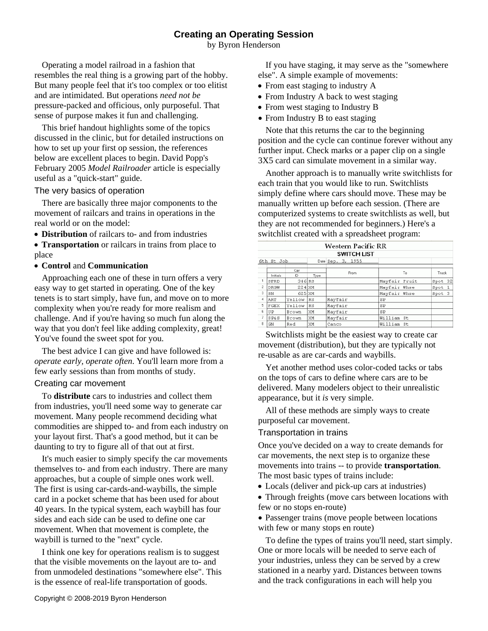# **Creating an Operating Session**

by Byron Henderson

Operating a model railroad in a fashion that resembles the real thing is a growing part of the hobby. But many people feel that it's too complex or too elitist and are intimidated. But operations *need not be* pressure-packed and officious, only purposeful. That sense of purpose makes it fun and challenging.

This brief handout highlights some of the topics discussed in the clinic, but for detailed instructions on how to set up your first op session, the references below are excellent places to begin. David Popp's February 2005 *Model Railroader* article is especially useful as a "quick-start" guide.

The very basics of operation

There are basically three major components to the movement of railcars and trains in operations in the real world or on the model:

**Distribution** of railcars to- and from industries

 **Transportation** or railcars in trains from place to place

**Control** and **Communication**

Approaching each one of these in turn offers a very easy way to get started in operating. One of the key tenets is to start simply, have fun, and move on to more complexity when you're ready for more realism and challenge. And if you're having so much fun along the way that you don't feel like adding complexity, great! You've found the sweet spot for you.

The best advice I can give and have followed is: *operate early, operate often*. You'll learn more from a few early sessions than from months of study.

## Creating car movement

To **distribute** cars to industries and collect them from industries, you'll need some way to generate car movement. Many people recommend deciding what commodities are shipped to- and from each industry on your layout first. That's a good method, but it can be daunting to try to figure all of that out at first.

It's much easier to simply specify the car movements themselves to- and from each industry. There are many approaches, but a couple of simple ones work well. The first is using car-cards-and-waybills, the simple card in a pocket scheme that has been used for about 40 years. In the typical system, each waybill has four sides and each side can be used to define one car movement. When that movement is complete, the waybill is turned to the "next" cycle.

I think one key for operations realism is to suggest that the visible movements on the layout are to- and from unmodeled destinations "somewhere else". This is the essence of real-life transportation of goods.

If you have staging, it may serve as the "somewhere else". A simple example of movements:

- From east staging to industry A
- From Industry A back to west staging
- From west staging to Industry B
- From Industry B to east staging

Note that this returns the car to the beginning position and the cycle can continue forever without any further input. Check marks or a paper clip on a single 3X5 card can simulate movement in a similar way.

Another approach is to manually write switchlists for each train that you would like to run. Switchlists simply define where cars should move. These may be manually written up before each session. (There are computerized systems to create switchlists as well, but they are not recommended for beginners.) Here's a switchlist created with a spreadsheet program:

| Western Pacific RR |                 |        |           |                   |               |         |
|--------------------|-----------------|--------|-----------|-------------------|---------------|---------|
| <b>SWITCH LIST</b> |                 |        |           |                   |               |         |
|                    | 6th St Job      |        |           | Date Sep. 3, 1955 |               |         |
|                    |                 | Car    |           | From              | To            | Track   |
|                    | Initials        | ID     | Type      |                   |               |         |
|                    | SFRD            | 346 RS |           |                   | Mayfair Fruit | Spot 32 |
| 2                  | <b>DRGW</b>     | 224 XM |           |                   | Mayfair Whse  | Spot 1  |
| 3                  | SN              | 625 XM |           |                   | Mayfair Whse  | Spot 3  |
| $\overline{4}$     | ART             | Yellow | RS        | Mayfair           | SP            |         |
| 5                  | FGEX            | Yellow | <b>RS</b> | Mayfair           | SP            |         |
| 6                  | UP              | Brown  | XM        | Mayfair           | SP            |         |
| 7                  | <b>SP&amp;S</b> | Brown  | XM        | Mayfair           | William St    |         |
| 8                  | GN              | Red    | XM        | Canco             | William St    |         |
|                    |                 |        |           |                   |               |         |

Switchlists might be the easiest way to create car movement (distribution), but they are typically not re-usable as are car-cards and waybills.

Yet another method uses color-coded tacks or tabs on the tops of cars to define where cars are to be delivered. Many modelers object to their unrealistic appearance, but it *is* very simple.

All of these methods are simply ways to create purposeful car movement.

## Transportation in trains

Once you've decided on a way to create demands for car movements, the next step is to organize these movements into trains -- to provide **transportation**. The most basic types of trains include:

- Locals (deliver and pick-up cars at industries)
- Through freights (move cars between locations with few or no stops en-route)

• Passenger trains (move people between locations) with few or many stops en route)

To define the types of trains you'll need, start simply. One or more locals will be needed to serve each of your industries, unless they can be served by a crew stationed in a nearby yard. Distances between towns and the track configurations in each will help you